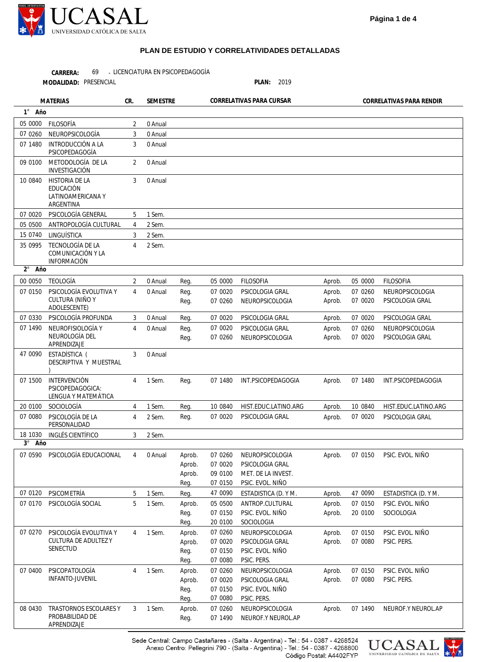

**MATERIAS CR. SEMESTRE CORRELATIVAS PARA CURSAR CORRELATIVAS PARA RENDIR** 

LICENCIATURA EN PSICOPEDAGOGÍA **CARRERA:** 69

PRESENCIAL **PLAN:** 2019 **MODALIDAD:**

APRENDIZAJE

**1** ° **2** ° **3** ° **Año Año Año** Aprob. Aprob. Aprob. Aprob. Aprob. Aprob. Aprob. Aprob. Aprob. Aprob. Aprob. Aprob. Aprob. Aprob. Aprob. Aprob. Aprob. Aprob. 05 0000 07 0260 07 0020 07 0020 07 0260 07 0020 07 1480 10 0840 07 0020 07 0150 47 0090 07 0150 20 0100 07 0150 07 0080 07 0150 07 0080 07 1490 FILOSOFIA NEUROPSICOLOGIA PSICOLOGIA GRAL PSICOLOGIA GRAL NEUROPSICOLOGIA PSICOLOGIA GRAL INT.PSICOPEDAGOGIA HIST.EDUC.LATINO.ARG PSICOLOGIA GRAL PSIC. EVOL. NIÑO ESTADISTICA (D. Y M. PSIC. EVOL. NIÑO SOCIOLOGIA PSIC. EVOL. NIÑO PSIC. PERS. PSIC. EVOL. NIÑO PSIC. PERS. NEUROF.Y NEUROL.AP Reg. Reg. Reg. Reg. Reg. Reg. Reg. Reg. Reg. Aprob. Aprob. Aprob. Reg. Reg. Aprob. Reg. Reg. Aprob. Aprob. Reg. Reg. Aprob. Aprob. Reg. Reg. Aprob. Reg. 05 0000 07 0020 07 0260 07 0020 07 0020 07 0260 07 1480 10 0840 07 0020 07 0260 07 0020 09 0100 07 0150 47 0090 05 0500 07 0150 20 0100 07 0260 07 0020 07 0150 07 0080 07 0260 07 0020 07 0150 07 0080 07 0260 07 1490 **FILOSOFIA** PSICOLOGIA GRAL NEUROPSICOLOGIA PSICOLOGIA GRAL PSICOLOGIA GRAL NEUROPSICOLOGIA INT.PSICOPEDAGOGIA HIST.EDUC.LATINO.ARG PSICOLOGIA GRAL NEUROPSICOLOGIA PSICOLOGIA GRAL MET. DE LA INVEST. PSIC. EVOL. NIÑO ESTADISTICA (D. Y M. ANTROP.CULTURAL PSIC. EVOL. NIÑO SOCIOLOGIA NEUROPSICOLOGIA PSICOLOGIA GRAL PSIC. EVOL. NIÑO PSIC. PERS. NEUROPSICOLOGIA PSICOLOGIA GRAL PSIC. EVOL. NIÑO PSIC. PERS. NEUROPSICOLOGIA NEUROF.Y NEUROL.AP 05 0000 07 0260 07 1480 09 0100 10 0840 07 0020 05 0500 15 0740 35 0995 00 0050 07 0150 07 0330 07 1490 47 0090 07 1500 20 0100 07 0080 18 1030 07 0590 PSICOLOGÍA EDUCACIONAL 07 0120 07 0170 07 0270 07 0400 08 0430 FILOSOFÍA NEUROPSICOLOGÍA INTRODUCCIÓN A LA PSICOPEDAGOGÍA METODOLOGÍA DE LA INVESTIGACIÓN HISTORIA DE LA EDUCACIÓN LATINOAMERICANA Y ARGENTINA PSICOLOGÍA GENERAL ANTROPOLOGÍA CULTURAL LINGUÍSTICA TECNOLOGÍA DE LA COMUNICACIÓN Y LA INFORMACIÓN TEOLOGÍA PSICOLOGÍA EVOLUTIVA Y CULTURA (NIÑO Y ADOLESCENTE) PSICOLOGÍA PROFUNDA NEUROFISIOLOGÍA Y NEUROLOGÍA DEL APRENDIZAJE ESTADÍSTICA ( DESCRIPTIVA Y MUESTRAL ) INTERVENCIÓN PSICOPEDAGOGICA: LENGUA Y MATEMÁTICA SOCIOLOGÍA PSICOLOGÍA DE LA PERSONALIDAD INGLÉS CIENTÍFICO PSICOMETRÍA PSICOLOGÍA SOCIAL PSICOLOGÍA EVOLUTIVA Y CULTURA DE ADULTEZ Y SENECTUD PSICOPATOLOGÍA INFANTO-JUVENIL TRASTORNOS ESCOLARES Y PROBABILIDAD DE 2 3 3 2 3 5 4 3 4  $\overline{\mathcal{L}}$ 4 3 4 3 4 4 4 3 4 5 5 4 4 3 0 Anual 0 Anual 0 Anual 0 Anual 0 Anual 1 Sem. 2 Sem. 2 Sem. 2 Sem. 0 Anual 0 Anual 0 Anual 0 Anual 0 Anual 1 Sem. 1 Sem. 2 Sem. 2 Sem. 0 Anual 1 Sem. 1 Sem. 1 Sem. 1 Sem. 1 Sem.



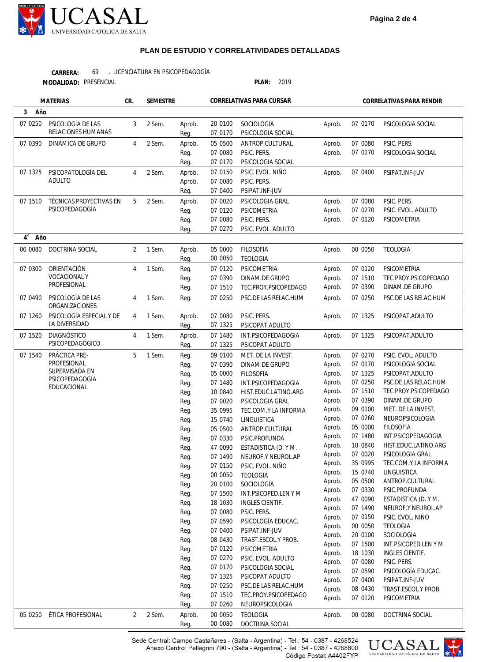

LICENCIATURA EN PSICOPEDAGOGÍA PRESENCIAL **PLAN:** 2019 **MODALIDAD: CARRERA:** 69

**3 4** ° **Año Año** Aprob. Aprob. Aprob. Aprob. Aprob. Aprob. Aprob. Aprob. Aprob. Aprob. Aprob. Aprob. Aprob. Aprob. Aprob. Aprob. Aprob. Aprob. Aprob. Aprob. Aprob. Aprob. Aprob. Aprob. Aprob. Aprob. Aprob. Aprob. Aprob. Aprob. Aprob. Aprob. Aprob. Aprob. Aprob. Aprob. Aprob. Aprob. Aprob. Aprob. Aprob. Aprob. Aprob. 07 0170 07 0080 07 0170 07 0400 07 0080 07 0270 07 0120 00 0050 07 0120 07 1510 07 0390 07 0250 07 1325 07 1325 07 0270 07 0170 07 1325 07 0250 07 1510 07 0390 09 0100 07 0260 05 0000 07 1480 10 0840 07 0020 35 0995 15 0740 05 0500 07 0330 47 0090 07 1490 07 0150 00 0050 20 0100 07 1500 18 1030 07 0080 07 0590 07 0400 08 0430 07 0120 00 0080 PSICOLOGIA SOCIAL PSIC. PERS. PSICOLOGIA SOCIAL PSIPAT.INF-JUV PSIC. PERS. PSIC. EVOL. ADULTO PSICOMETRIA TEOLOGIA PSICOMETRIA TEC.PROY.PSICOPEDAGO DINAM.DE GRUPO PSC.DE LAS RELAC.HUM PSICOPAT.ADULTO PSICOPAT.ADULTO PSIC. EVOL. ADULTO PSICOLOGIA SOCIAL PSICOPAT.ADULTO PSC.DE LAS RELAC.HUM TEC.PROY.PSICOPEDAGO DINAM.DE GRUPO MET. DE LA INVEST. NEUROPSICOLOGIA FILOSOFIA INT.PSICOPEDAGOGIA HIST.EDUC.LATINO.ARG PSICOLOGIA GRAL TEC.COM.Y LA INFORMA LINGUISTICA ANTROP.CULTURAL PSIC.PROFUNDA ESTADISTICA (D. Y M. NEUROF.Y NEUROL.AP PSIC. EVOL. NIÑO TEOLOGIA SOCIOLOGIA INT.PSICOPED.LEN Y M INGLES CIENTIF. PSIC. PERS. PSICOLOGÍA EDUCAC. PSIPAT.INF-JUV TRAST.ESCOL.Y PROB. PSICOMETRIA DOCTRINA SOCIAL Aprob. Reg. Aprob. Reg. Reg. Aprob. Aprob. Reg. Aprob. Reg. Reg. Reg. Aprob. Reg. Reg. Reg. Reg. Reg. Aprob. Reg. Aprob. Reg. Reg. Reg. Reg. Reg. Reg. Reg. Reg. Reg. Reg. Reg. Reg. Reg. Reg. Reg. Reg. Reg. Reg. Reg. Reg. Reg. Reg. Reg. Reg. Reg. Reg. Reg. Reg. Reg. Aprob. Reg. 20 0100 07 0170 05 0500 07 0080 07 0170 07 0150 07 0080 07 0400 07 0020 07 0120 07 0080 07 0270 05 0000 00 0050 07 0120 07 0390 07 1510 07 0250 07 0080 07 1325 07 1480 07 1325 09 0100 07 0390 05 0000 07 1480 10 0840 07 0020 35 0995 15 0740 05 0500 07 0330 47 0090 07 1490 07 0150 00 0050 20 0100 07 1500 18 1030 07 0080 07 0590 07 0400 08 0430 07 0120 07 0270 07 0170 07 1325 07 0250 07 1510 07 0260 00 0050 00 0080 SOCIOLOGIA PSICOLOGIA SOCIAL ANTROP.CULTURAL PSIC. PERS. PSICOLOGIA SOCIAL PSIC. EVOL. NIÑO PSIC. PERS. PSIPAT.INF-JUV PSICOLOGIA GRAL **PSICOMETRIA** PSIC. PERS. PSIC. EVOL. ADULTO FILOSOFIA TEOLOGIA PSICOMETRIA DINAM.DE GRUPO TEC.PROY.PSICOPEDAGO PSC.DE LAS RELAC.HUM PSIC. PERS. PSICOPAT.ADULTO INT.PSICOPEDAGOGIA PSICOPAT.ADULTO MET. DE LA INVEST DINAM.DE GRUPO FILOSOFIA INT.PSICOPEDAGOGIA HIST.EDUC.LATINO.ARG PSICOLOGIA GRAL TEC.COM.Y LA INFORMA **LINGUISTICA** ANTROP.CULTURAL PSIC.PROFUNDA ESTADISTICA (D. Y M. NEUROF.Y NEUROL.AP PSIC. EVOL. NIÑO TEOLOGIA SOCIOLOGIA INT.PSICOPED.LEN Y M INGLES CIENTIF. PSIC. PERS. PSICOLOGÍA EDUCAC. PSIPAT.INF-JUV TRAST.ESCOL.Y PROB. PSICOMETRIA PSIC. EVOL. ADULTO PSICOLOGIA SOCIAL PSICOPAT.ADULTO PSC.DE LAS RELAC.HUM TEC.PROY.PSICOPEDAGO NEUROPSICOLOGIA TEOLOGIA DOCTRINA SOCIAL 07 0250 07 0390 07 1325 07 1510 00 0080 07 0300 07 0490 07 1260 07 1520 07 1540 05 ÉTICA PROFESIONAL 0250 PSICOLOGÍA DE LAS RELACIONES HUMANAS DINÁMICA DE GRUPO PSICOPATOLOGÍA DEL ADULTO TÉCNICAS PROYECTIVAS EN PSICOPEDAGOGÍA DOCTRINA SOCIAL ORIENTACIÓN VOCACIONAL Y **PROFESIONAL** PSICOLOGÍA DE LAS ORGANIZACIONES PSICOLOGÍA ESPECIAL Y DE LA DIVERSIDAD DIAGNÓSTICO PSICOPEDAGÓGICO PRÁCTICA PRE-**PROFESIONAL** SUPERVISADA EN PSICOPEDAGOGÍA EDUCACIONAL 3 4 4 5 2 4 4 4 4 5  $\overline{2}$ 2 Sem. 2 Sem. 2 Sem. 2 Sem. 1 Sem. 1 Sem. 1 Sem. 1 Sem. 1 Sem. 1 Sem. 2 Sem. **MATERIAS CR. SEMESTRE CORRELATIVAS PARA CURSAR CORRELATIVAS PARA RENDIR** 

> Sede Central: Campo Castañares - (Salta - Argentina) - Tel.: 54 - 0387 - 4268524 Anexo Centro: Pellegrini 790 - (Salta - Argentina) - Tel.: 54 - 0387 - 4268800 Código Postal: A4402FYP

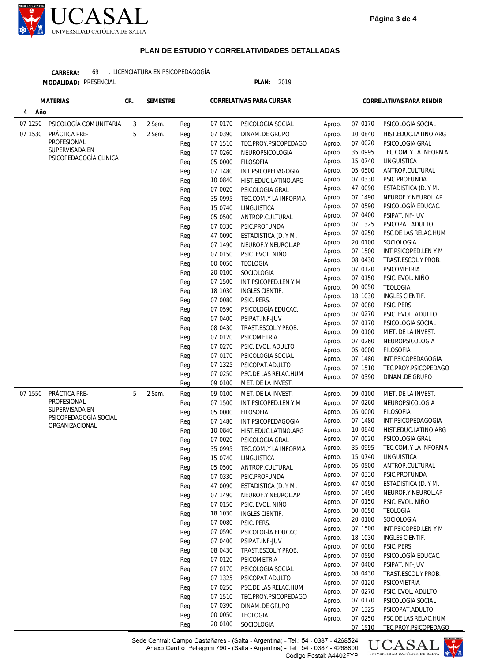

LICENCIATURA EN PSICOPEDAGOGÍA **CARRERA:** 69 -

**MODALIDAD:**

PRESENCIAL **PLAN:** 2019

|          | <b>MATERIAS</b>        | CR. | <b>SEMESTRE</b> |      |          | CORRELATIVAS PARA CURSAR |                  |                    | CORRELATIVAS PARA RENDIR               |
|----------|------------------------|-----|-----------------|------|----------|--------------------------|------------------|--------------------|----------------------------------------|
| Año<br>4 |                        |     |                 |      |          |                          |                  |                    |                                        |
| 07 1250  | PSICOLOGÍA COMUNITARIA | 3   | 2 Sem.          | Reg. | 07 0170  | PSICOLOGIA SOCIAL        | Aprob.           | 07 0170            | PSICOLOGIA SOCIAL                      |
| 07 1530  | PRÁCTICA PRE-          | 5   | 2 Sem.          | Req. | 07 0390  | DINAM.DE GRUPO           | Aprob.           | 10 0840            | HIST.EDUC.LATINO.ARG                   |
|          | PROFESIONAL            |     |                 | Reg. | 07 1510  | TEC.PROY.PSICOPEDAGO     | Aprob.           | 07 0020            | PSICOLOGIA GRAL                        |
|          | SUPERVISADA EN         |     |                 | Reg. | 07 0260  | NEUROPSICOLOGIA          | Aprob.           | 35 0995            | TEC.COM.Y LA INFORMA                   |
|          | PSICOPEDAGOGÍA CLÍNICA |     |                 | Reg. | 05 0000  | <b>FILOSOFIA</b>         | Aprob.           | 15 0740            | LINGUISTICA                            |
|          |                        |     |                 | Reg. | 07 1480  | INT.PSICOPEDAGOGIA       | Aprob.           | 05 0500            | ANTROP.CULTURAL                        |
|          |                        |     |                 | Reg. | 10 0840  | HIST.EDUC.LATINO.ARG     | Aprob.           | 07 0330            | PSIC.PROFUNDA                          |
|          |                        |     |                 | Reg. | 07 0020  | PSICOLOGIA GRAL          | Aprob.           | 47 0090            | ESTADISTICA (D. Y M.                   |
|          |                        |     |                 | Reg. | 35 0995  | TEC.COM.Y LA INFORMA     | Aprob.           | 07 1490            | NEUROF.Y NEUROL.AP                     |
|          |                        |     |                 |      | 15 0740  | LINGUISTICA              | Aprob.           | 07 0590            | PSICOLOGÍA EDUCAC.                     |
|          |                        |     |                 | Reg. |          |                          | Aprob.           | 07 0400            | PSIPAT.INF-JUV                         |
|          |                        |     |                 | Reg. | 05 0500  | ANTROP.CULTURAL          | Aprob.           | 07 1325            | PSICOPAT.ADULTO                        |
|          |                        |     |                 | Reg. | 07 0330  | PSIC.PROFUNDA            | Aprob.           | 07 0250            | PSC.DE LAS RELAC.HUM                   |
|          |                        |     |                 | Reg. | 47 0090  | ESTADISTICA (D. Y M.     | Aprob.           | 20 0100            | SOCIOLOGIA                             |
|          |                        |     |                 | Reg. | 07 1490  | NEUROF.Y NEUROL.AP       | Aprob.           | 07 1500            | INT.PSICOPED.LEN Y M                   |
|          |                        |     |                 | Reg. | 07 0150  | PSIC. EVOL. NIÑO         | Aprob.           | 08 0430            | TRAST.ESCOL.Y PROB.                    |
|          |                        |     |                 | Reg. | 00 0050  | <b>TEOLOGIA</b>          | Aprob.           | 07 0120            | PSICOMETRIA                            |
|          |                        |     |                 | Reg. | 20 0100  | SOCIOLOGIA               | Aprob.           | 07 0150            | PSIC. EVOL. NIÑO                       |
|          |                        |     |                 | Reg. | 07 1500  | INT.PSICOPED.LEN Y M     | Aprob.           | 00 0050            | <b>TEOLOGIA</b>                        |
|          |                        |     |                 | Reg. | 18 1030  | INGLES CIENTIF.          | Aprob.           | 18 1030            | INGLES CIENTIF.                        |
|          |                        |     |                 | Reg. | 07 0080  | PSIC. PERS.              | Aprob.           | 07 0080            | PSIC. PERS.                            |
|          |                        |     |                 | Reg. | 07 0590  | PSICOLOGÍA EDUCAC.       | Aprob.           | 07 0270            | PSIC. EVOL. ADULTO                     |
|          |                        |     |                 | Reg. | 07 0400  | PSIPAT.INF-JUV           | Aprob.           | 07 0170            | PSICOLOGIA SOCIAL                      |
|          |                        |     |                 | Reg. | 08 0430  | TRAST.ESCOL.Y PROB.      | Aprob.           | 09 0100            | MET. DE LA INVEST.                     |
|          |                        |     |                 | Reg. | 07 0120  | PSICOMETRIA              | Aprob.           | 07 0260            | NEUROPSICOLOGIA                        |
|          |                        |     |                 | Reg. | 07 0270  | PSIC. EVOL. ADULTO       |                  | 05 0000            | <b>FILOSOFIA</b>                       |
|          |                        |     |                 | Reg. | 07 0170  | PSICOLOGIA SOCIAL        | Aprob.           | 07 1480            | INT.PSICOPEDAGOGIA                     |
|          |                        |     |                 | Reg. | 07 1325  | PSICOPAT.ADULTO          | Aprob.           | 07 1510            | TEC.PROY.PSICOPEDAGO                   |
|          |                        |     |                 | Reg. | 07 0250  | PSC.DE LAS RELAC.HUM     | Aprob.           | 07 0390            | DINAM.DE GRUPO                         |
|          |                        |     |                 | Reg. | 09 0100  | MET. DE LA INVEST.       | Aprob.           |                    |                                        |
| 07 1550  | PRÁCTICA PRE-          | 5   | 2 Sem.          | Reg. | 09 0100  | MET. DE LA INVEST.       | Aprob.           | 09 0100            | MET. DE LA INVEST.                     |
|          | PROFESIONAL            |     |                 | Reg. | 07 1500  | INT.PSICOPED.LEN Y M     | Aprob.           | 07 0260            | NEUROPSICOLOGIA                        |
|          | SUPERVISADA EN         |     |                 | Reg. | 05 0000  | <b>FILOSOFIA</b>         | Aprob.           | 05 0000            | <b>FILOSOFIA</b>                       |
|          | PSICOPEDAGOGÍA SOCIAL  |     |                 | Reg. | 07 1480  | INT.PSICOPEDAGOGIA       | Aprob.           | 07 1480            | INT.PSICOPEDAGOGIA                     |
|          | ORGANIZACIONAL         |     |                 | Reg. | 10 0840  | HIST.EDUC.LATINO.ARG     | Aprob.           | 10 0840            | HIST.EDUC.LATINO.ARG                   |
|          |                        |     |                 |      | 07 0020  | PSICOLOGIA GRAL          | Aprob.           | 07 0020            | PSICOLOGIA GRAL                        |
|          |                        |     |                 | Reg. |          |                          | Aprob.           | 35 0995            | TEC.COM.Y LA INFORMA                   |
|          |                        |     |                 | Reg. | 35 0995  | TEC.COM.Y LA INFORMA     | Aprob.           | 15 0740            | LINGUISTICA                            |
|          |                        |     |                 | Reg. | 15 0740  | LINGUISTICA              | Aprob.           | 05 0500            | ANTROP.CULTURAL                        |
|          |                        |     |                 | Reg. | 05 0500  | ANTROP.CULTURAL          | Aprob.           | 07 0330            | PSIC.PROFUNDA                          |
|          |                        |     |                 | Reg. | 07 0330  | PSIC.PROFUNDA            | Aprob.           | 47 0090            | ESTADISTICA (D. Y M.                   |
|          |                        |     |                 | Reg. | 47 0090  | ESTADISTICA (D. Y M.     |                  | 07 1490            |                                        |
|          |                        |     |                 | Reg. | 07 1490  | NEUROF.Y NEUROL.AP       | Aprob.<br>Aprob. | 07 0150            | NEUROF.Y NEUROL.AP<br>PSIC. EVOL. NIÑO |
|          |                        |     |                 | Reg. | 07 0150  | PSIC. EVOL. NIÑO         |                  |                    | <b>TEOLOGIA</b>                        |
|          |                        |     |                 | Reg. | 18 1030  | <b>INGLES CIENTIF.</b>   | Aprob.           | 00 0050            |                                        |
|          |                        |     |                 | Reg. | 07 0080  | PSIC. PERS.              | Aprob.           | 20 0100<br>07 1500 | SOCIOLOGIA<br>INT.PSICOPED.LEN Y M     |
|          |                        |     |                 | Reg. | 07 0590  | PSICOLOGÍA EDUCAC.       | Aprob.           | 18 1030            |                                        |
|          |                        |     |                 | Reg. | 07 0400  | PSIPAT.INF-JUV           | Aprob.           |                    | INGLES CIENTIF.                        |
|          |                        |     |                 | Reg. | 08 04 30 | TRAST.ESCOL.Y PROB.      | Aprob.           | 07 0080            | PSIC. PERS.                            |
|          |                        |     |                 | Reg. | 07 0120  | PSICOMETRIA              | Aprob.           | 07 0590            | PSICOLOGÍA EDUCAC.                     |
|          |                        |     |                 | Reg. | 07 0170  | PSICOLOGIA SOCIAL        | Aprob.           | 07 0400            | PSIPAT.INF-JUV                         |
|          |                        |     |                 | Reg. | 07 1325  | PSICOPAT.ADULTO          | Aprob.           | 08 0430            | TRAST.ESCOL.Y PROB.                    |
|          |                        |     |                 | Reg. | 07 0250  | PSC.DE LAS RELAC.HUM     | Aprob.           | 07 0120            | PSICOMETRIA                            |
|          |                        |     |                 | Reg. | 07 1510  | TEC.PROY.PSICOPEDAGO     | Aprob.           | 07 0270            | PSIC. EVOL. ADULTO                     |
|          |                        |     |                 | Reg. | 07 0390  | DINAM.DE GRUPO           | Aprob.           | 07 0170            | PSICOLOGIA SOCIAL                      |
|          |                        |     |                 | Reg. | 00 0050  | <b>TEOLOGIA</b>          | Aprob.           | 07 1325            | PSICOPAT.ADULTO                        |
|          |                        |     |                 |      | 20 0100  | SOCIOLOGIA               | Aprob.           | 07 0250            | PSC.DE LAS RELAC.HUM                   |
|          |                        |     |                 | Reg. |          |                          |                  | 07 1510            | TEC.PROY.PSICOPEDAGO                   |

Sede Central: Campo Castañares - (Salta - Argentina) - Tel.: 54 - 0387 - 4268524<br>Anexo Centro: Pellegrini 790 - (Salta - Argentina) - Tel.: 54 - 0387 - 4268800 Código Postal: A4402FYP